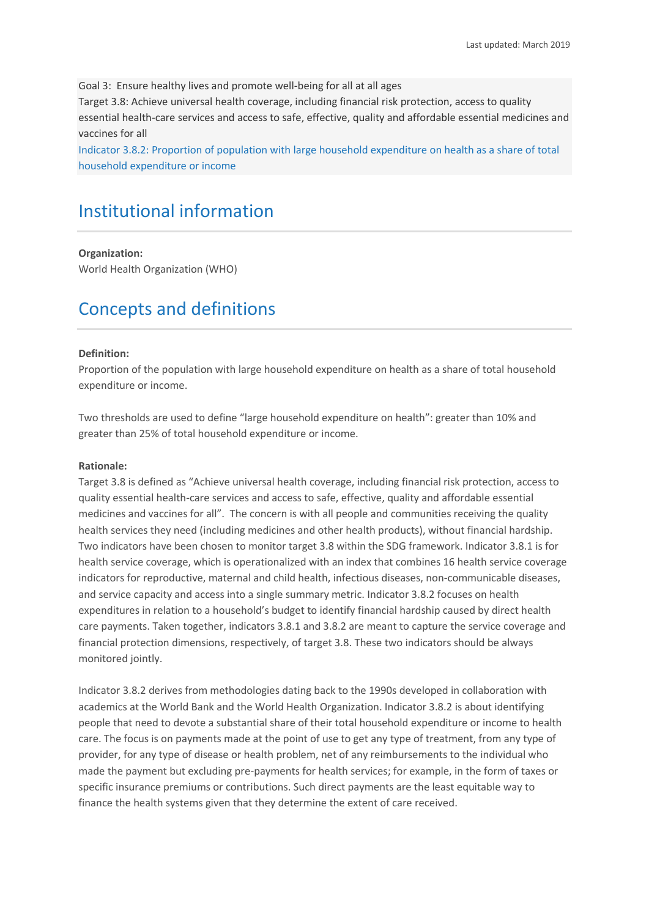Goal 3: Ensure healthy lives and promote well-being for all at all ages

Target 3.8: Achieve universal health coverage, including financial risk protection, access to quality essential health-care services and access to safe, effective, quality and affordable essential medicines and vaccines for all

Indicator 3.8.2: Proportion of population with large household expenditure on health as a share of total household expenditure or income

# Institutional information

#### **Organization:**

World Health Organization (WHO)

# Concepts and definitions

#### **Definition:**

Proportion of the population with large household expenditure on health as a share of total household expenditure or income.

Two thresholds are used to define "large household expenditure on health": greater than 10% and greater than 25% of total household expenditure or income.

#### **Rationale:**

Target 3.8 is defined as "Achieve universal health coverage, including financial risk protection, access to quality essential health-care services and access to safe, effective, quality and affordable essential medicines and vaccines for all". The concern is with all people and communities receiving the quality health services they need (including medicines and other health products), without financial hardship. Two indicators have been chosen to monitor target 3.8 within the SDG framework. Indicator 3.8.1 is for health service coverage, which is operationalized with an index that combines 16 health service coverage indicators for reproductive, maternal and child health, infectious diseases, non-communicable diseases, and service capacity and access into a single summary metric. Indicator 3.8.2 focuses on health expenditures in relation to a household's budget to identify financial hardship caused by direct health care payments. Taken together, indicators 3.8.1 and 3.8.2 are meant to capture the service coverage and financial protection dimensions, respectively, of target 3.8. These two indicators should be always monitored jointly.

Indicator 3.8.2 derives from methodologies dating back to the 1990s developed in collaboration with academics at the World Bank and the World Health Organization. Indicator 3.8.2 is about identifying people that need to devote a substantial share of their total household expenditure or income to health care. The focus is on payments made at the point of use to get any type of treatment, from any type of provider, for any type of disease or health problem, net of any reimbursements to the individual who made the payment but excluding pre-payments for health services; for example, in the form of taxes or specific insurance premiums or contributions. Such direct payments are the least equitable way to finance the health systems given that they determine the extent of care received.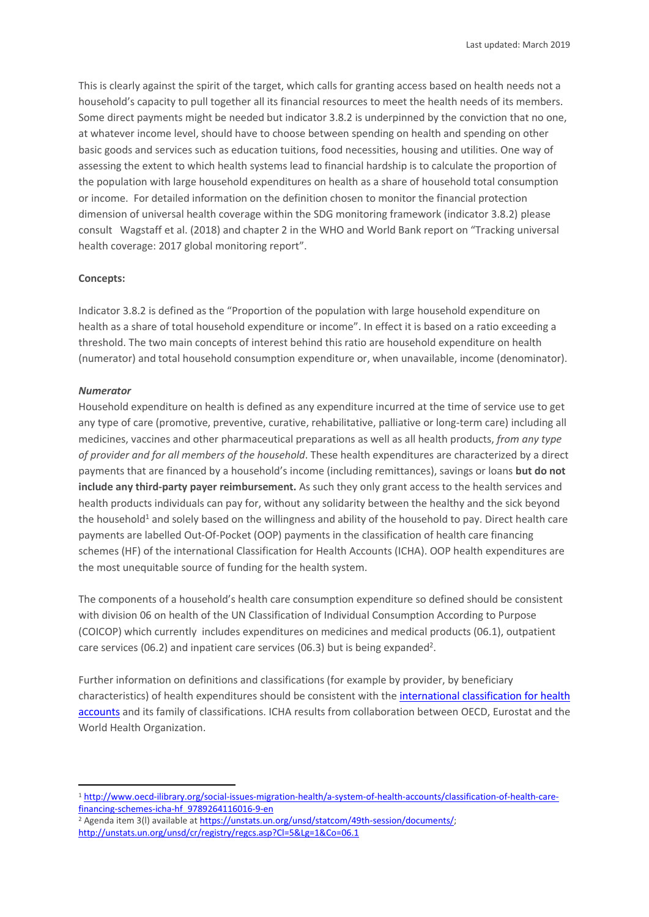This is clearly against the spirit of the target, which calls for granting access based on health needs not a household's capacity to pull together all its financial resources to meet the health needs of its members. Some direct payments might be needed but indicator 3.8.2 is underpinned by the conviction that no one, at whatever income level, should have to choose between spending on health and spending on other basic goods and services such as education tuitions, food necessities, housing and utilities. One way of assessing the extent to which health systems lead to financial hardship is to calculate the proportion of the population with large household expenditures on health as a share of household total consumption or income. For detailed information on the definition chosen to monitor the financial protection dimension of universal health coverage within the SDG monitoring framework (indicator 3.8.2) please consult Wagstaff et al. (2018) and chapter 2 in the WHO and World Bank report on "Tracking universal health coverage: 2017 global monitoring report".

#### **Concepts:**

Indicator 3.8.2 is defined as the "Proportion of the population with large household expenditure on health as a share of total household expenditure or income". In effect it is based on a ratio exceeding a threshold. The two main concepts of interest behind this ratio are household expenditure on health (numerator) and total household consumption expenditure or, when unavailable, income (denominator).

#### *Numerator*

 $\overline{\phantom{a}}$ 

Household expenditure on health is defined as any expenditure incurred at the time of service use to get any type of care (promotive, preventive, curative, rehabilitative, palliative or long-term care) including all medicines, vaccines and other pharmaceutical preparations as well as all health products, *from any type of provider and for all members of the household*. These health expenditures are characterized by a direct payments that are financed by a household's income (including remittances), savings or loans **but do not include any third-party payer reimbursement.** As such they only grant access to the health services and health products individuals can pay for, without any solidarity between the healthy and the sick beyond the household<sup>1</sup> and solely based on the willingness and ability of the household to pay. Direct health care payments are labelled Out-Of-Pocket (OOP) payments in the classification of health care financing schemes (HF) of the international Classification for Health Accounts (ICHA). OOP health expenditures are the most unequitable source of funding for the health system.

The components of a household's health care consumption expenditure so defined should be consistent with division 06 on health of the UN Classification of Individual Consumption According to Purpose (COICOP) which currently includes expenditures on medicines and medical products (06.1), outpatient care services (06.2) and inpatient care services (06.3) but is being expanded<sup>2</sup>.

Further information on definitions and classifications (for example by provider, by beneficiary characteristics) of health expenditures should be consistent with th[e international classification for health](http://www.who.int/health-accounts/methodology/en/)  [accounts](http://www.who.int/health-accounts/methodology/en/) and its family of classifications. ICHA results from collaboration between OECD, Eurostat and the World Health Organization.

<sup>1</sup> [http://www.oecd-ilibrary.org/social-issues-migration-health/a-system-of-health-accounts/classification-of-health-care](http://www.oecd-ilibrary.org/social-issues-migration-health/a-system-of-health-accounts/classification-of-health-care-financing-schemes-icha-hf_9789264116016-9-en)[financing-schemes-icha-hf\\_9789264116016-9-en](http://www.oecd-ilibrary.org/social-issues-migration-health/a-system-of-health-accounts/classification-of-health-care-financing-schemes-icha-hf_9789264116016-9-en) 

<sup>&</sup>lt;sup>2</sup> Agenda item 3(I) available at https://unstats.un.org/unsd/statcom/49th-session/documents/; <http://unstats.un.org/unsd/cr/registry/regcs.asp?Cl=5&Lg=1&Co=06.1>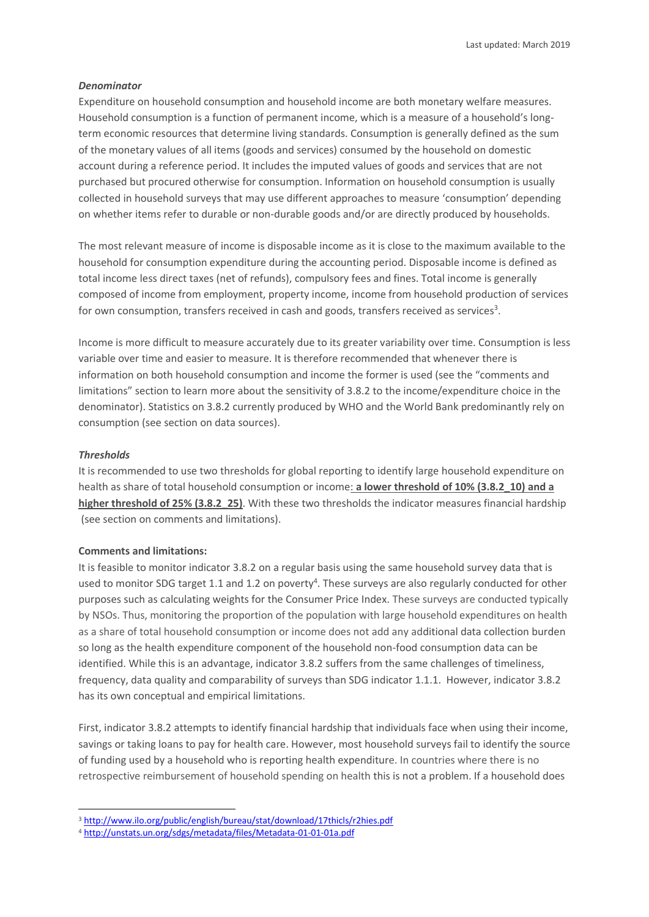#### *Denominator*

Expenditure on household consumption and household income are both monetary welfare measures. Household consumption is a function of permanent income, which is a measure of a household's longterm economic resources that determine living standards. Consumption is generally defined as the sum of the monetary values of all items (goods and services) consumed by the household on domestic account during a reference period. It includes the imputed values of goods and services that are not purchased but procured otherwise for consumption. Information on household consumption is usually collected in household surveys that may use different approaches to measure 'consumption' depending on whether items refer to durable or non-durable goods and/or are directly produced by households.

The most relevant measure of income is disposable income as it is close to the maximum available to the household for consumption expenditure during the accounting period. Disposable income is defined as total income less direct taxes (net of refunds), compulsory fees and fines. Total income is generally composed of income from employment, property income, income from household production of services for own consumption, transfers received in cash and goods, transfers received as services<sup>3</sup>.

Income is more difficult to measure accurately due to its greater variability over time. Consumption is less variable over time and easier to measure. It is therefore recommended that whenever there is information on both household consumption and income the former is used (see the "comments and limitations" section to learn more about the sensitivity of 3.8.2 to the income/expenditure choice in the denominator). Statistics on 3.8.2 currently produced by WHO and the World Bank predominantly rely on consumption (see section on data sources).

#### *Thresholds*

**.** 

It is recommended to use two thresholds for global reporting to identify large household expenditure on health as share of total household consumption or income: **a lower threshold of 10% (3.8.2\_10) and a higher threshold of 25% (3.8.2\_25)**. With these two thresholds the indicator measures financial hardship (see section on comments and limitations).

#### **Comments and limitations:**

It is feasible to monitor indicator 3.8.2 on a regular basis using the same household survey data that is used to monitor SDG target 1.1 and 1.2 on poverty<sup>4</sup>. These surveys are also regularly conducted for other purposes such as calculating weights for the Consumer Price Index. These surveys are conducted typically by NSOs. Thus, monitoring the proportion of the population with large household expenditures on health as a share of total household consumption or income does not add any additional data collection burden so long as the health expenditure component of the household non-food consumption data can be identified. While this is an advantage, indicator 3.8.2 suffers from the same challenges of timeliness, frequency, data quality and comparability of surveys than SDG indicator 1.1.1. However, indicator 3.8.2 has its own conceptual and empirical limitations.

First, indicator 3.8.2 attempts to identify financial hardship that individuals face when using their income, savings or taking loans to pay for health care. However, most household surveys fail to identify the source of funding used by a household who is reporting health expenditure. In countries where there is no retrospective reimbursement of household spending on health this is not a problem. If a household does

<sup>3</sup> <http://www.ilo.org/public/english/bureau/stat/download/17thicls/r2hies.pdf>

<sup>4</sup> <http://unstats.un.org/sdgs/metadata/files/Metadata-01-01-01a.pdf>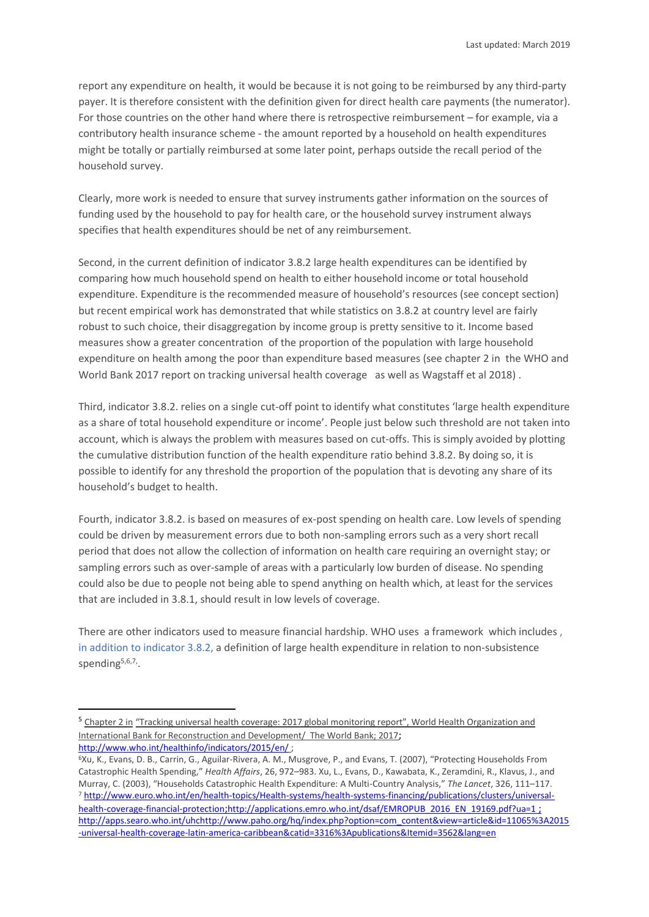report any expenditure on health, it would be because it is not going to be reimbursed by any third-party payer. It is therefore consistent with the definition given for direct health care payments (the numerator). For those countries on the other hand where there is retrospective reimbursement – for example, via a contributory health insurance scheme - the amount reported by a household on health expenditures might be totally or partially reimbursed at some later point, perhaps outside the recall period of the household survey.

Clearly, more work is needed to ensure that survey instruments gather information on the sources of funding used by the household to pay for health care, or the household survey instrument always specifies that health expenditures should be net of any reimbursement.

Second, in the current definition of indicator 3.8.2 large health expenditures can be identified by comparing how much household spend on health to either household income or total household expenditure. Expenditure is the recommended measure of household's resources (see concept section) but recent empirical work has demonstrated that while statistics on 3.8.2 at country level are fairly robust to such choice, their disaggregation by income group is pretty sensitive to it. Income based measures show a greater concentration of the proportion of the population with large household expenditure on health among the poor than expenditure based measures (see chapter 2 in the WHO and World Bank 2017 report on tracking universal health coverage as well as Wagstaff et al 2018) .

Third, indicator 3.8.2. relies on a single cut-off point to identify what constitutes 'large health expenditure as a share of total household expenditure or income'. People just below such threshold are not taken into account, which is always the problem with measures based on cut-offs. This is simply avoided by plotting the cumulative distribution function of the health expenditure ratio behind 3.8.2. By doing so, it is possible to identify for any threshold the proportion of the population that is devoting any share of its household's budget to health.

Fourth, indicator 3.8.2. is based on measures of ex-post spending on health care. Low levels of spending could be driven by measurement errors due to both non-sampling errors such as a very short recall period that does not allow the collection of information on health care requiring an overnight stay; or sampling errors such as over-sample of areas with a particularly low burden of disease. No spending could also be due to people not being able to spend anything on health which, at least for the services that are included in 3.8.1, should result in low levels of coverage.

There are other indicators used to measure financial hardship. WHO uses a framework which includes , in addition to indicator 3.8.2, a definition of large health expenditure in relation to non-subsistence spending<sup>5,6,7</sup>,

**.** 

<sup>5</sup> Chapter 2 in "Tracking universal health coverage: 2017 global monitoring report", World Health Organization and International Bank for Reconstruction and Development/ The World Bank; 2017; <http://www.who.int/healthinfo/indicators/2015/en/> ;

<sup>6</sup>Xu, K., Evans, D. B., Carrin, G., Aguilar-Rivera, A. M., Musgrove, P., and Evans, T. (2007), "Protecting Households From Catastrophic Health Spending," *Health Affairs*, 26, 972–983. Xu, L., Evans, D., Kawabata, K., Zeramdini, R., Klavus, J., and Murray, C. (2003), "Households Catastrophic Health Expenditure: A Multi-Country Analysis," *The Lancet*, 326, 111–117. <sup>7</sup> [http://www.euro.who.int/en/health-topics/Health-systems/health-systems-financing/publications/clusters/universal](http://www.euro.who.int/en/health-topics/Health-systems/health-systems-financing/publications/clusters/universal-health-coverage-financial-protection)[health-coverage-financial-protection](http://www.euro.who.int/en/health-topics/Health-systems/health-systems-financing/publications/clusters/universal-health-coverage-financial-protection);[http://applications.emro.who.int/dsaf/EMROPUB\\_2016\\_EN\\_19169.pdf?ua=1](http://applications.emro.who.int/dsaf/EMROPUB_2016_EN_19169.pdf?ua=1) ; <http://apps.searo.who.int/uhc>[http://www.paho.org/hq/index.php?option=com\\_content&view=article&id=11065%3A2015](http://www.paho.org/hq/index.php?option=com_content&view=article&id=11065%3A2015-universal-health-coverage-latin-america-caribbean&catid=3316%3Apublications&Itemid=3562&lang=en) [-universal-health-coverage-latin-america-caribbean&catid=3316%3Apublications&Itemid=3562&lang=en](http://www.paho.org/hq/index.php?option=com_content&view=article&id=11065%3A2015-universal-health-coverage-latin-america-caribbean&catid=3316%3Apublications&Itemid=3562&lang=en)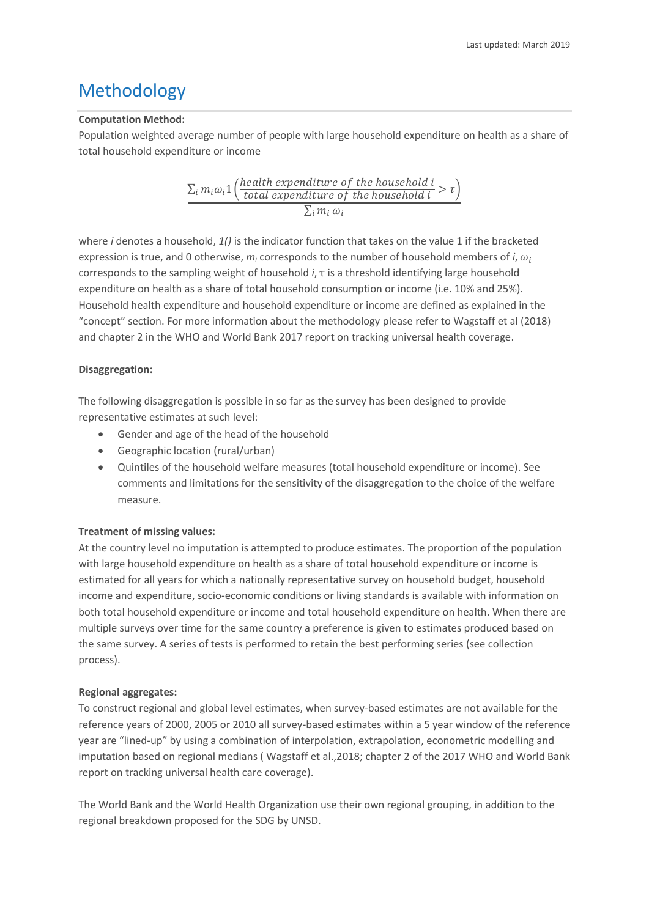# Methodology

### **Computation Method:**

Population weighted average number of people with large household expenditure on health as a share of total household expenditure or income

$$
\frac{\sum_i m_i \omega_i \mathbf{1}\left(\frac{health\ expenditure\ of\ the\ household\ i}{total\ expenditure\ of\ the\ household\ i} > \tau\right)}{\sum_i m_i \omega_i}
$$

where *i* denotes a household, *1()* is the indicator function that takes on the value 1 if the bracketed expression is true, and 0 otherwise,  $m_i$  corresponds to the number of household members of *i*,  $\omega_i$ corresponds to the sampling weight of household *i*, τ is a threshold identifying large household expenditure on health as a share of total household consumption or income (i.e. 10% and 25%). Household health expenditure and household expenditure or income are defined as explained in the "concept" section. For more information about the methodology please refer to Wagstaff et al (2018) and chapter 2 in the WHO and World Bank 2017 report on tracking universal health coverage.

## **Disaggregation:**

The following disaggregation is possible in so far as the survey has been designed to provide representative estimates at such level:

- Gender and age of the head of the household
- Geographic location (rural/urban)
- Quintiles of the household welfare measures (total household expenditure or income). See comments and limitations for the sensitivity of the disaggregation to the choice of the welfare measure.

## **Treatment of missing values:**

At the country level no imputation is attempted to produce estimates. The proportion of the population with large household expenditure on health as a share of total household expenditure or income is estimated for all years for which a nationally representative survey on household budget, household income and expenditure, socio-economic conditions or living standards is available with information on both total household expenditure or income and total household expenditure on health. When there are multiple surveys over time for the same country a preference is given to estimates produced based on the same survey. A series of tests is performed to retain the best performing series (see collection process).

## **Regional aggregates:**

To construct regional and global level estimates, when survey-based estimates are not available for the reference years of 2000, 2005 or 2010 all survey-based estimates within a 5 year window of the reference year are "lined-up" by using a combination of interpolation, extrapolation, econometric modelling and imputation based on regional medians ( Wagstaff et al.,2018; chapter 2 of the 2017 WHO and World Bank report on tracking universal health care coverage).

The World Bank and the World Health Organization use their own regional grouping, in addition to the regional breakdown proposed for the SDG by UNSD.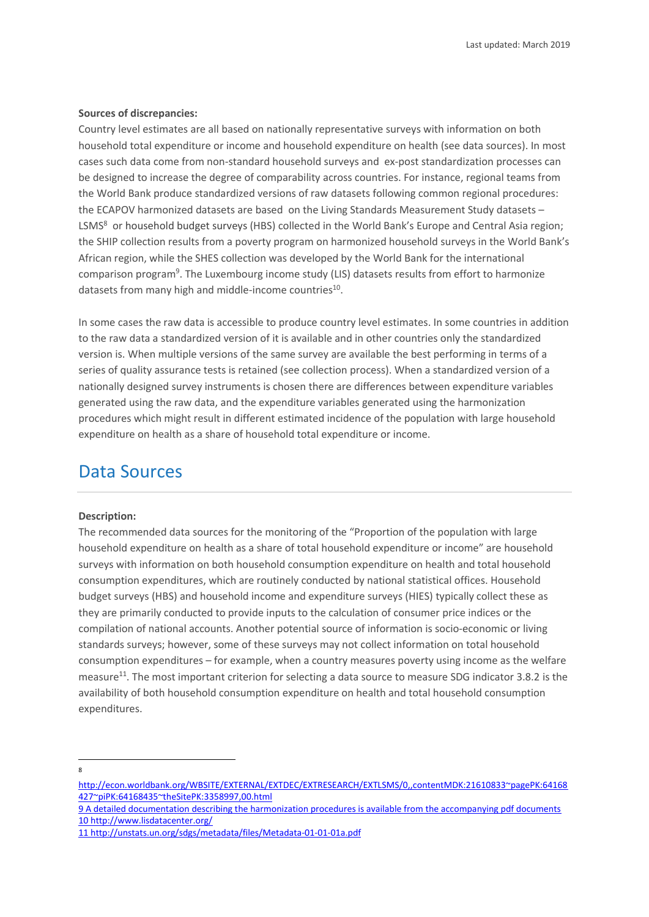#### **Sources of discrepancies:**

Country level estimates are all based on nationally representative surveys with information on both household total expenditure or income and household expenditure on health (see data sources). In most cases such data come from non-standard household surveys and ex-post standardization processes can be designed to increase the degree of comparability across countries. For instance, regional teams from the World Bank produce standardized versions of raw datasets following common regional procedures: the ECAPOV harmonized datasets are based on the Living Standards Measurement Study datasets – LSMS<sup>8</sup> or household budget surveys (HBS) collected in the World Bank's Europe and Central Asia region; the SHIP collection results from a poverty program on harmonized household surveys in the World Bank's African region, while the SHES collection was developed by the World Bank for the international comparison program<sup>9</sup>. The Luxembourg income study (LIS) datasets results from effort to harmonize datasets from many high and middle-income countries<sup>10</sup>.

In some cases the raw data is accessible to produce country level estimates. In some countries in addition to the raw data a standardized version of it is available and in other countries only the standardized version is. When multiple versions of the same survey are available the best performing in terms of a series of quality assurance tests is retained (see collection process). When a standardized version of a nationally designed survey instruments is chosen there are differences between expenditure variables generated using the raw data, and the expenditure variables generated using the harmonization procedures which might result in different estimated incidence of the population with large household expenditure on health as a share of household total expenditure or income.

## Data Sources

#### **Description:**

The recommended data sources for the monitoring of the "Proportion of the population with large household expenditure on health as a share of total household expenditure or income" are household surveys with information on both household consumption expenditure on health and total household consumption expenditures, which are routinely conducted by national statistical offices. Household budget surveys (HBS) and household income and expenditure surveys (HIES) typically collect these as they are primarily conducted to provide inputs to the calculation of consumer price indices or the compilation of national accounts. Another potential source of information is socio-economic or living standards surveys; however, some of these surveys may not collect information on total household consumption expenditures – for example, when a country measures poverty using income as the welfare measure<sup>11</sup>. The most important criterion for selecting a data source to measure SDG indicator 3.8.2 is the availability of both household consumption expenditure on health and total household consumption expenditures.

 $\overline{\phantom{a}}$ 8

http://econ.worldbank.org/WBSITE/EXTERNAL/EXTDEC/EXTRESEARCH/EXTLSMS/0,,contentMDK:21610833~pagePK:64168 427~piPK:64168435~theSitePK:3358997,00.html

<sup>9</sup> A detailed documentation describing the harmonization procedures is available from the accompanying pdf documents 10 http://www.lisdatacenter.org/

<sup>11</sup> <http://unstats.un.org/sdgs/metadata/files/Metadata-01-01-01a.pdf>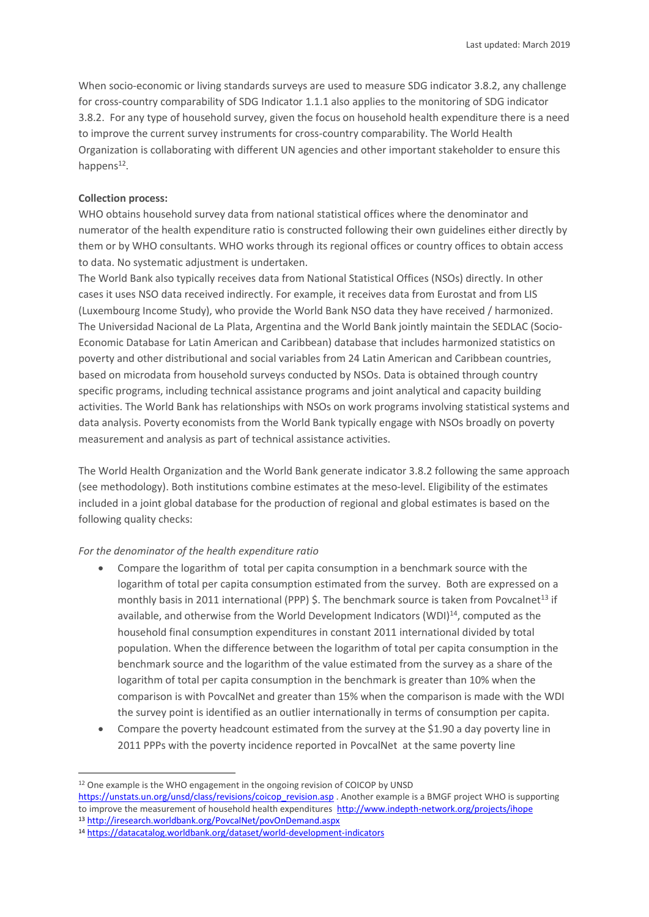When socio-economic or living standards surveys are used to measure SDG indicator 3.8.2, any challenge for cross-country comparability of SDG Indicator 1.1.1 also applies to the monitoring of SDG indicator 3.8.2. For any type of household survey, given the focus on household health expenditure there is a need to improve the current survey instruments for cross-country comparability. The World Health Organization is collaborating with different UN agencies and other important stakeholder to ensure this happens<sup>12</sup>.

## **Collection process:**

**.** 

WHO obtains household survey data from national statistical offices where the denominator and numerator of the health expenditure ratio is constructed following their own guidelines either directly by them or by WHO consultants. WHO works through its regional offices or country offices to obtain access to data. No systematic adjustment is undertaken.

The World Bank also typically receives data from National Statistical Offices (NSOs) directly. In other cases it uses NSO data received indirectly. For example, it receives data from Eurostat and from LIS (Luxembourg Income Study), who provide the World Bank NSO data they have received / harmonized. The Universidad Nacional de La Plata, Argentina and the World Bank jointly maintain the SEDLAC (Socio-Economic Database for Latin American and Caribbean) database that includes harmonized statistics on poverty and other distributional and social variables from 24 Latin American and Caribbean countries, based on microdata from household surveys conducted by NSOs. Data is obtained through country specific programs, including technical assistance programs and joint analytical and capacity building activities. The World Bank has relationships with NSOs on work programs involving statistical systems and data analysis. Poverty economists from the World Bank typically engage with NSOs broadly on poverty measurement and analysis as part of technical assistance activities.

The World Health Organization and the World Bank generate indicator 3.8.2 following the same approach (see methodology). Both institutions combine estimates at the meso-level. Eligibility of the estimates included in a joint global database for the production of regional and global estimates is based on the following quality checks:

#### *For the denominator of the health expenditure ratio*

- Compare the logarithm of total per capita consumption in a benchmark source with the logarithm of total per capita consumption estimated from the survey. Both are expressed on a monthly basis in 2011 international (PPP) \$. The benchmark source is taken from Povcalnet<sup>13</sup> if available, and otherwise from the World Development Indicators (WDI)<sup>14</sup>, computed as the household final consumption expenditures in constant 2011 international divided by total population. When the difference between the logarithm of total per capita consumption in the benchmark source and the logarithm of the value estimated from the survey as a share of the logarithm of total per capita consumption in the benchmark is greater than 10% when the comparison is with PovcalNet and greater than 15% when the comparison is made with the WDI the survey point is identified as an outlier internationally in terms of consumption per capita.
- Compare the poverty headcount estimated from the survey at the \$1.90 a day poverty line in 2011 PPPs with the poverty incidence reported in PovcalNet at the same poverty line

<sup>&</sup>lt;sup>12</sup> One example is the WHO engagement in the ongoing revision of COICOP by UNSD [https://unstats.un.org/unsd/class/revisions/coicop\\_revision.asp](https://unstats.un.org/unsd/class/revisions/coicop_revision.asp)</u> . Another example is a BMGF project WHO is supporting to improve the measurement of household health expenditures http://www.indepth-network.org/projects/ihope <sup>13</sup> <http://iresearch.worldbank.org/PovcalNet/povOnDemand.aspx>

<sup>14</sup> <https://datacatalog.worldbank.org/dataset/world-development-indicators>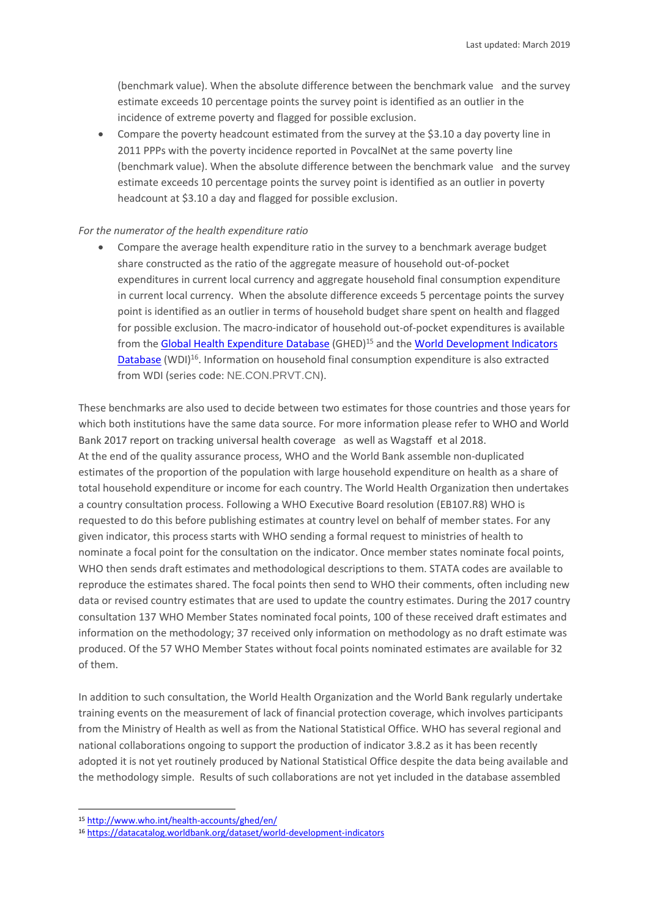(benchmark value). When the absolute difference between the benchmark value and the survey estimate exceeds 10 percentage points the survey point is identified as an outlier in the incidence of extreme poverty and flagged for possible exclusion.

• Compare the poverty headcount estimated from the survey at the \$3.10 a day poverty line in 2011 PPPs with the poverty incidence reported in PovcalNet at the same poverty line (benchmark value). When the absolute difference between the benchmark value and the survey estimate exceeds 10 percentage points the survey point is identified as an outlier in poverty headcount at \$3.10 a day and flagged for possible exclusion.

#### *For the numerator of the health expenditure ratio*

• Compare the average health expenditure ratio in the survey to a benchmark average budget share constructed as the ratio of the aggregate measure of household out-of-pocket expenditures in current local currency and aggregate household final consumption expenditure in current local currency. When the absolute difference exceeds 5 percentage points the survey point is identified as an outlier in terms of household budget share spent on health and flagged for possible exclusion. The macro-indicator of household out-of-pocket expenditures is available from the [Global Health Expenditure Database](http://www.who.int/health-accounts/ghed/en/) (GHED)<sup>15</sup> and the World Development Indicators [Database](http://data.worldbank.org/data-catalog/world-development-indicators) (WDI)<sup>16</sup>. Information on household final consumption expenditure is also extracted from WDI (series code: NE.CON.PRVT.CN).

These benchmarks are also used to decide between two estimates for those countries and those years for which both institutions have the same data source. For more information please refer to WHO and World Bank 2017 report on tracking universal health coverage as well as Wagstaff et al 2018. At the end of the quality assurance process, WHO and the World Bank assemble non-duplicated estimates of the proportion of the population with large household expenditure on health as a share of total household expenditure or income for each country. The World Health Organization then undertakes a country consultation process. Following a WHO Executive Board resolution (EB107.R8) WHO is requested to do this before publishing estimates at country level on behalf of member states. For any given indicator, this process starts with WHO sending a formal request to ministries of health to nominate a focal point for the consultation on the indicator. Once member states nominate focal points, WHO then sends draft estimates and methodological descriptions to them. STATA codes are available to reproduce the estimates shared. The focal points then send to WHO their comments, often including new data or revised country estimates that are used to update the country estimates. During the 2017 country consultation 137 WHO Member States nominated focal points, 100 of these received draft estimates and information on the methodology; 37 received only information on methodology as no draft estimate was produced. Of the 57 WHO Member States without focal points nominated estimates are available for 32 of them.

In addition to such consultation, the World Health Organization and the World Bank regularly undertake training events on the measurement of lack of financial protection coverage, which involves participants from the Ministry of Health as well as from the National Statistical Office. WHO has several regional and national collaborations ongoing to support the production of indicator 3.8.2 as it has been recently adopted it is not yet routinely produced by National Statistical Office despite the data being available and the methodology simple. Results of such collaborations are not yet included in the database assembled

**.** 

<sup>15</sup> <http://www.who.int/health-accounts/ghed/en/>

<sup>16</sup> <https://datacatalog.worldbank.org/dataset/world-development-indicators>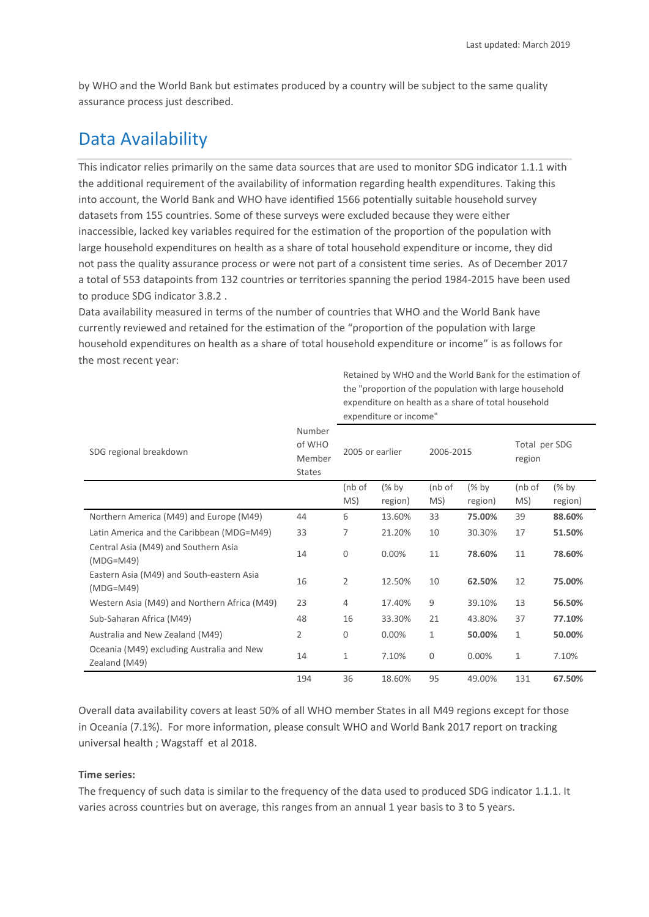Retained by WHO and the World Bank for the estimation of

by WHO and the World Bank but estimates produced by a country will be subject to the same quality assurance process just described.

# Data Availability

This indicator relies primarily on the same data sources that are used to monitor SDG indicator 1.1.1 with the additional requirement of the availability of information regarding health expenditures. Taking this into account, the World Bank and WHO have identified 1566 potentially suitable household survey datasets from 155 countries. Some of these surveys were excluded because they were either inaccessible, lacked key variables required for the estimation of the proportion of the population with large household expenditures on health as a share of total household expenditure or income, they did not pass the quality assurance process or were not part of a consistent time series. As of December 2017 a total of 553 datapoints from 132 countries or territories spanning the period 1984-2015 have been used to produce SDG indicator 3.8.2 .

Data availability measured in terms of the number of countries that WHO and the World Bank have currently reviewed and retained for the estimation of the "proportion of the population with large household expenditures on health as a share of total household expenditure or income" is as follows for the most recent year:

|                                                            |                                             | the "proportion of the population with large household<br>expenditure on health as a share of total household<br>expenditure or income" |                    |               |                    |                         |                    |
|------------------------------------------------------------|---------------------------------------------|-----------------------------------------------------------------------------------------------------------------------------------------|--------------------|---------------|--------------------|-------------------------|--------------------|
| SDG regional breakdown                                     | Number<br>of WHO<br>Member<br><b>States</b> | 2005 or earlier                                                                                                                         |                    | 2006-2015     |                    | Total per SDG<br>region |                    |
|                                                            |                                             | $($ nb of<br>MS)                                                                                                                        | $(%$ by<br>region) | (nb of<br>MS) | $(%$ by<br>region) | (nb of<br>MS)           | $(%$ by<br>region) |
| Northern America (M49) and Europe (M49)                    | 44                                          | 6                                                                                                                                       | 13.60%             | 33            | 75.00%             | 39                      | 88.60%             |
| Latin America and the Caribbean (MDG=M49)                  | 33                                          | 7                                                                                                                                       | 21.20%             | 10            | 30.30%             | 17                      | 51.50%             |
| Central Asia (M49) and Southern Asia<br>$(MDG=M49)$        | 14                                          | $\mathbf 0$                                                                                                                             | 0.00%              | 11            | 78.60%             | 11                      | 78.60%             |
| Eastern Asia (M49) and South-eastern Asia<br>$(MDG=MA9)$   | 16                                          | $\overline{2}$                                                                                                                          | 12.50%             | 10            | 62.50%             | 12                      | 75.00%             |
| Western Asia (M49) and Northern Africa (M49)               | 23                                          | 4                                                                                                                                       | 17.40%             | 9             | 39.10%             | 13                      | 56.50%             |
| Sub-Saharan Africa (M49)                                   | 48                                          | 16                                                                                                                                      | 33.30%             | 21            | 43.80%             | 37                      | 77.10%             |
| Australia and New Zealand (M49)                            | 2                                           | $\mathbf 0$                                                                                                                             | 0.00%              | 1             | 50.00%             | 1                       | 50.00%             |
| Oceania (M49) excluding Australia and New<br>Zealand (M49) | 14                                          | 1                                                                                                                                       | 7.10%              | 0             | 0.00%              | 1                       | 7.10%              |
|                                                            | 194                                         | 36                                                                                                                                      | 18.60%             | 95            | 49.00%             | 131                     | 67.50%             |

Overall data availability covers at least 50% of all WHO member States in all M49 regions except for those in Oceania (7.1%). For more information, please consult WHO and World Bank 2017 report on tracking universal health ; Wagstaff et al 2018.

## **Time series:**

The frequency of such data is similar to the frequency of the data used to produced SDG indicator 1.1.1. It varies across countries but on average, this ranges from an annual 1 year basis to 3 to 5 years.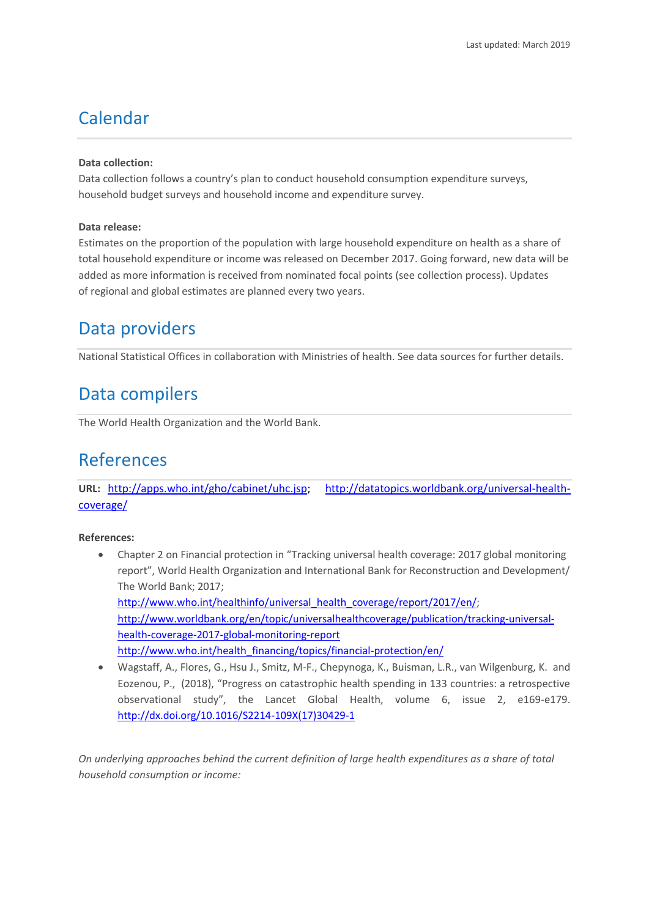# Calendar

### **Data collection:**

Data collection follows a country's plan to conduct household consumption expenditure surveys, household budget surveys and household income and expenditure survey.

### **Data release:**

Estimates on the proportion of the population with large household expenditure on health as a share of total household expenditure or income was released on December 2017. Going forward, new data will be added as more information is received from nominated focal points (see collection process). Updates of regional and global estimates are planned every two years.

# Data providers

National Statistical Offices in collaboration with Ministries of health. See data sources for further details.

# Data compilers

The World Health Organization and the World Bank.

# References

**URL:** [http://apps.who.int/gho/cabinet/uhc.jsp;](http://apps.who.int/gho/cabinet/uhc.jsp) [http://datatopics.worldbank.org/universal-health](http://datatopics.worldbank.org/universal-health-coverage/)[coverage/](http://datatopics.worldbank.org/universal-health-coverage/)

## **References:**

- Chapter 2 on Financial protection in "Tracking universal health coverage: 2017 global monitoring report", World Health Organization and International Bank for Reconstruction and Development/ The World Bank; 2017; [http://www.who.int/healthinfo/universal\\_health\\_coverage/report/2017/en/;](http://www.who.int/healthinfo/universal_health_coverage/report/2017/en/) [http://www.worldbank.org/en/topic/universalhealthcoverage/publication/tracking-universal](http://www.worldbank.org/en/topic/universalhealthcoverage/publication/tracking-universal-health-coverage-2017-global-monitoring-report)[health-coverage-2017-global-monitoring-report](http://www.worldbank.org/en/topic/universalhealthcoverage/publication/tracking-universal-health-coverage-2017-global-monitoring-report) [http://www.who.int/health\\_financing/topics/financial-protection/en/](http://www.who.int/health_financing/topics/financial-protection/en/)
- Wagstaff, A., Flores, G., Hsu J., Smitz, M-F., Chepynoga, K., Buisman, L.R., van Wilgenburg, K. and Eozenou, P., (2018), "Progress on catastrophic health spending in 133 countries: a retrospective observational study", the Lancet Global Health, volume 6, issue 2, e169-e179. [http://dx.doi.org/10.1016/S2214-109X\(17\)30429-1](http://dx.doi.org/10.1016/S2214-109X(17)30429-1)

*On underlying approaches behind the current definition of large health expenditures as a share of total household consumption or income:*